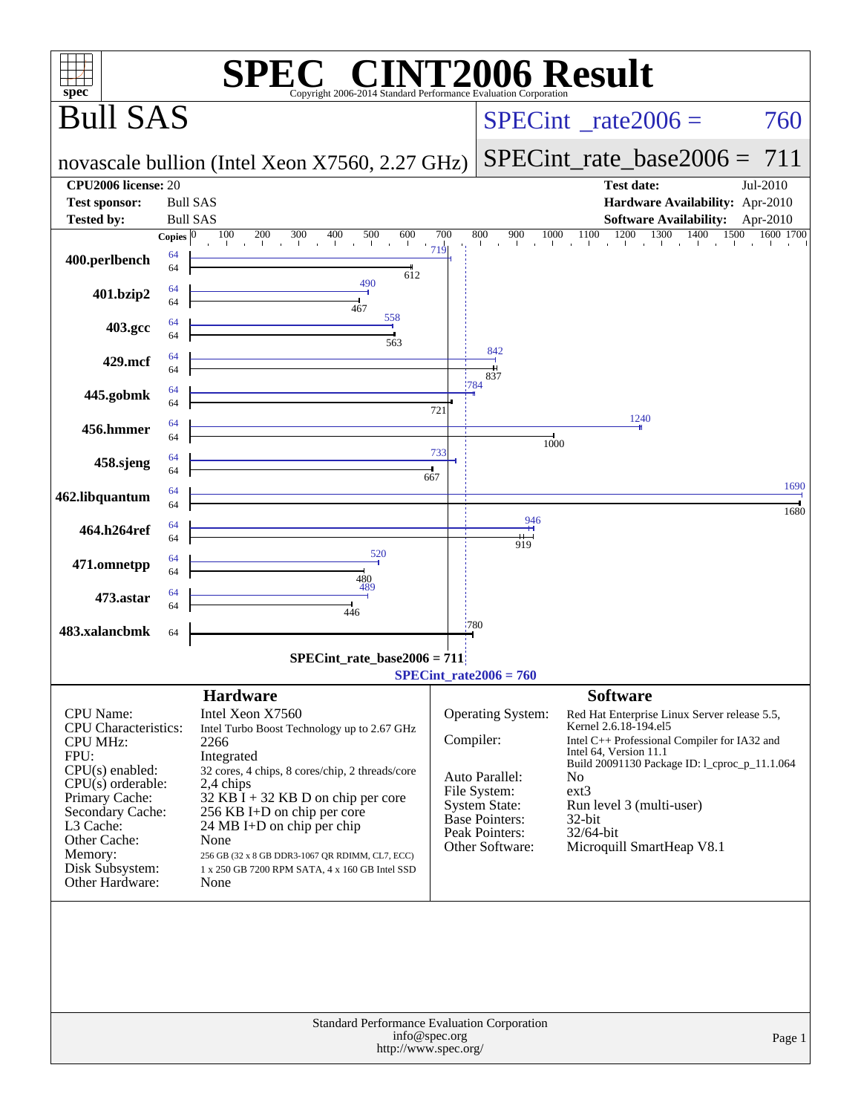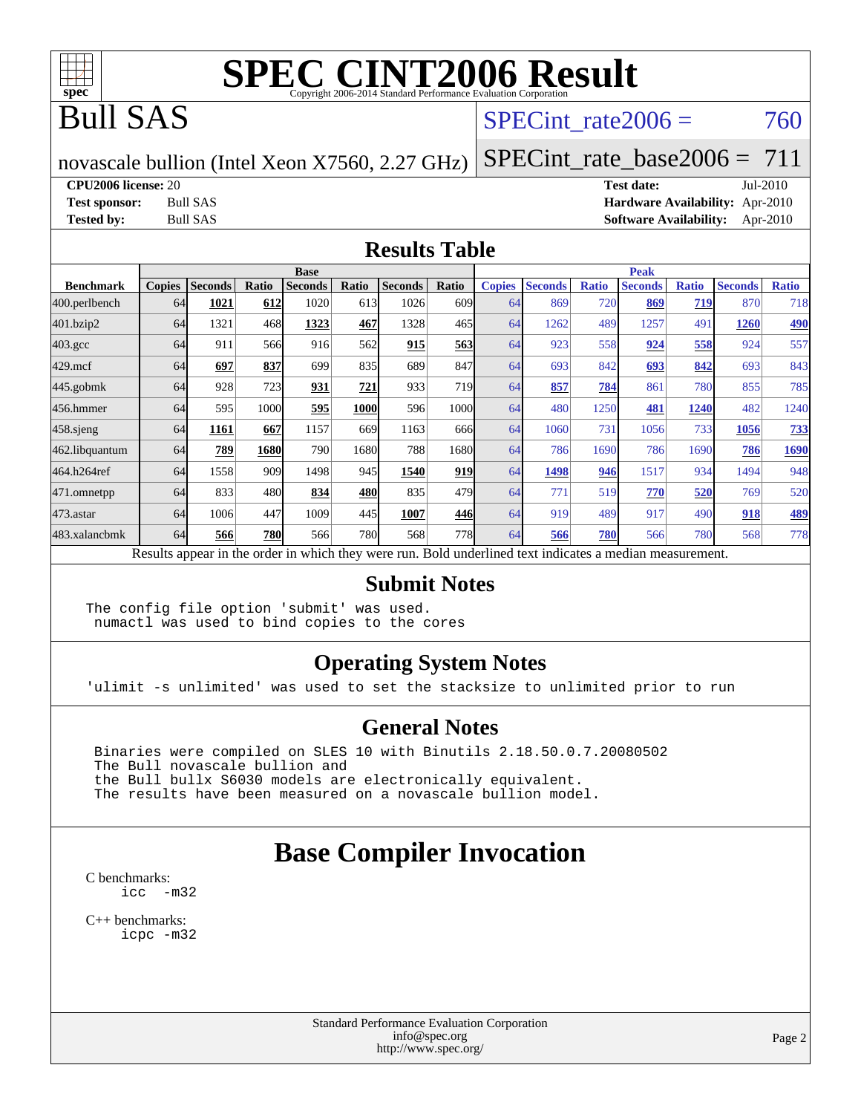

## Bull SAS

#### SPECint rate $2006 = 760$

novascale bullion (Intel Xeon X7560, 2.27 GHz)

[SPECint\\_rate\\_base2006 =](http://www.spec.org/auto/cpu2006/Docs/result-fields.html#SPECintratebase2006) 711

**[CPU2006 license:](http://www.spec.org/auto/cpu2006/Docs/result-fields.html#CPU2006license)** 20 **[Test date:](http://www.spec.org/auto/cpu2006/Docs/result-fields.html#Testdate)** Jul-2010

**[Test sponsor:](http://www.spec.org/auto/cpu2006/Docs/result-fields.html#Testsponsor)** Bull SAS **[Hardware Availability:](http://www.spec.org/auto/cpu2006/Docs/result-fields.html#HardwareAvailability)** Apr-2010 **[Tested by:](http://www.spec.org/auto/cpu2006/Docs/result-fields.html#Testedby)** Bull SAS **[Software Availability:](http://www.spec.org/auto/cpu2006/Docs/result-fields.html#SoftwareAvailability)** Apr-2010

#### **[Results Table](http://www.spec.org/auto/cpu2006/Docs/result-fields.html#ResultsTable)**

|                    | <b>Base</b>   |                |       |                                                                                                          |       |                |                  |               | <b>Peak</b>    |              |                |              |                |              |  |
|--------------------|---------------|----------------|-------|----------------------------------------------------------------------------------------------------------|-------|----------------|------------------|---------------|----------------|--------------|----------------|--------------|----------------|--------------|--|
| <b>Benchmark</b>   | <b>Copies</b> | <b>Seconds</b> | Ratio | <b>Seconds</b>                                                                                           | Ratio | <b>Seconds</b> | Ratio            | <b>Copies</b> | <b>Seconds</b> | <b>Ratio</b> | <b>Seconds</b> | <b>Ratio</b> | <b>Seconds</b> | <b>Ratio</b> |  |
| 400.perlbench      | 64            | 1021           | 612   | 1020                                                                                                     | 613   | 1026           | 609 <sub>1</sub> | 64            | 869            | 720          | 869            | 719          | 870            | 718          |  |
| 401.bzip2          | 64            | 1321           | 468   | 1323                                                                                                     | 467   | 1328           | 465I             | 64            | 1262           | 489          | 1257           | 491          | 1260           | <u>490</u>   |  |
| $403.\mathrm{gcc}$ | 64            | 911            | 566   | 916                                                                                                      | 562   | 915            | 563              | 64            | 923            | 558          | 924            | 558          | 924            | 557          |  |
| $429$ .mcf         | 64            | 697            | 837   | 699                                                                                                      | 835   | 689            | 847              | 64            | 693            | 842          | 693            | 842          | 693            | 843          |  |
| $445$ .gobmk       | 64            | 928            | 723   | 931                                                                                                      | 721   | 933            | 719              | 64            | 857            | 784          | 861            | 780          | 855            | 785          |  |
| 456.hmmer          | 64            | 595            | 1000  | 595                                                                                                      | 1000  | 596            | 1000l            | 64            | 480            | 1250         | 481            | <u> 1240</u> | 482            | 1240         |  |
| $458$ .sjeng       | 64            | 1161           | 667   | 1157                                                                                                     | 669   | 1163           | 666              | 64            | 1060           | 731          | 1056           | 733          | 1056           | <u>733</u>   |  |
| 462.libquantum     | 64            | 789            | 1680  | 790                                                                                                      | 1680  | 788            | 1680l            | 64            | 786            | 1690         | 786            | 1690         | 786            | 1690         |  |
| 464.h264ref        | 64            | 1558           | 909   | 1498                                                                                                     | 945   | 1540           | 919              | 64            | 1498           | 946          | 1517           | 934          | 1494           | 948          |  |
| 471.omnetpp        | 64            | 833            | 480   | 834                                                                                                      | 480   | 835            | 479              | 64            | 771            | 519          | 770            | 520          | 769            | 520          |  |
| $473$ . astar      | 64            | 1006           | 447   | 1009                                                                                                     | 445   | 1007           | 446              | 64            | 919            | 489          | 917            | 490          | 918            | <u>489</u>   |  |
| 483.xalancbmk      | 64            | 566            | 780   | 566                                                                                                      | 780   | 568            | 778I             | 64            | 566            | 780          | 566            | 780          | 568            | 778          |  |
|                    |               |                |       | Results appear in the order in which they were run. Bold underlined text indicates a median measurement. |       |                |                  |               |                |              |                |              |                |              |  |

#### **[Submit Notes](http://www.spec.org/auto/cpu2006/Docs/result-fields.html#SubmitNotes)**

The config file option 'submit' was used. numactl was used to bind copies to the cores

#### **[Operating System Notes](http://www.spec.org/auto/cpu2006/Docs/result-fields.html#OperatingSystemNotes)**

'ulimit -s unlimited' was used to set the stacksize to unlimited prior to run

#### **[General Notes](http://www.spec.org/auto/cpu2006/Docs/result-fields.html#GeneralNotes)**

 Binaries were compiled on SLES 10 with Binutils 2.18.50.0.7.20080502 The Bull novascale bullion and the Bull bullx S6030 models are electronically equivalent. The results have been measured on a novascale bullion model.

### **[Base Compiler Invocation](http://www.spec.org/auto/cpu2006/Docs/result-fields.html#BaseCompilerInvocation)**

[C benchmarks](http://www.spec.org/auto/cpu2006/Docs/result-fields.html#Cbenchmarks): [icc -m32](http://www.spec.org/cpu2006/results/res2010q3/cpu2006-20100719-12569.flags.html#user_CCbase_intel_icc_32bit_5ff4a39e364c98233615fdd38438c6f2)

[C++ benchmarks:](http://www.spec.org/auto/cpu2006/Docs/result-fields.html#CXXbenchmarks) [icpc -m32](http://www.spec.org/cpu2006/results/res2010q3/cpu2006-20100719-12569.flags.html#user_CXXbase_intel_icpc_32bit_4e5a5ef1a53fd332b3c49e69c3330699)

> Standard Performance Evaluation Corporation [info@spec.org](mailto:info@spec.org) <http://www.spec.org/>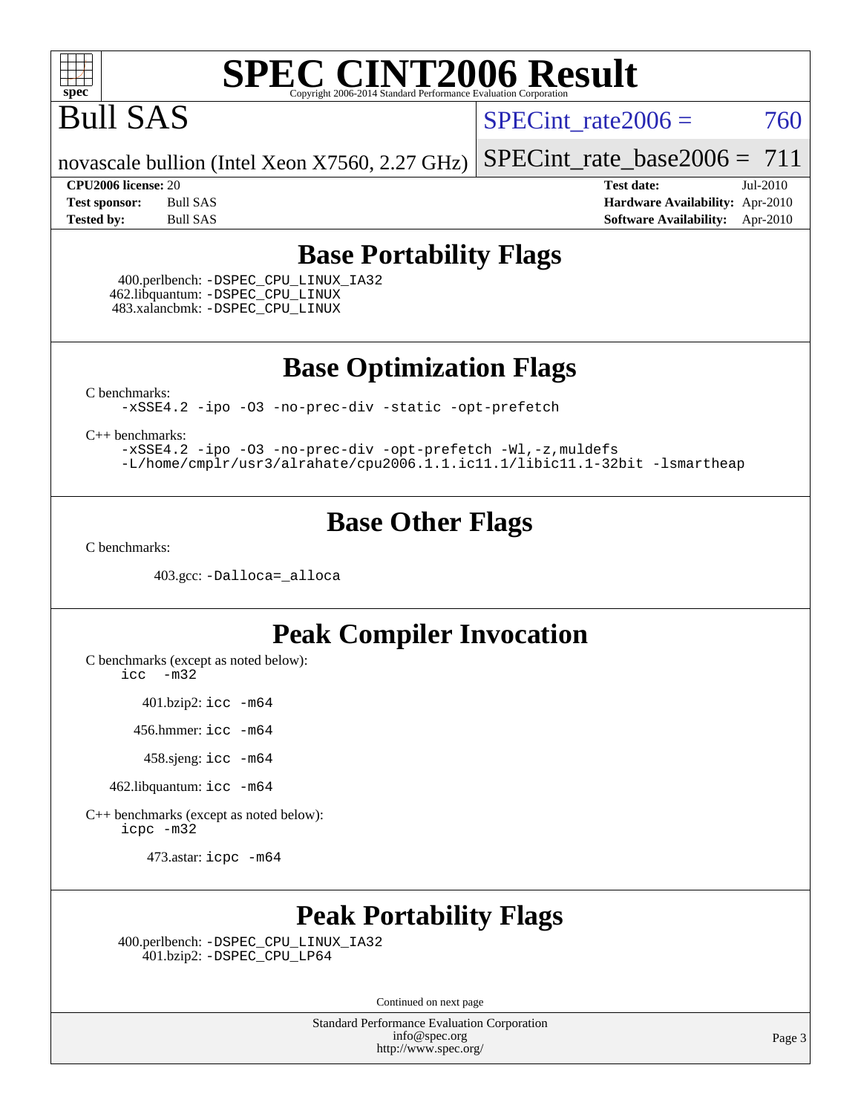

## Bull SAS

SPECint rate $2006 = 760$ 

novascale bullion (Intel Xeon X7560, 2.27 GHz)

[SPECint\\_rate\\_base2006 =](http://www.spec.org/auto/cpu2006/Docs/result-fields.html#SPECintratebase2006)  $711$ 

**[CPU2006 license:](http://www.spec.org/auto/cpu2006/Docs/result-fields.html#CPU2006license)** 20 **[Test date:](http://www.spec.org/auto/cpu2006/Docs/result-fields.html#Testdate)** Jul-2010 **[Test sponsor:](http://www.spec.org/auto/cpu2006/Docs/result-fields.html#Testsponsor)** Bull SAS **[Hardware Availability:](http://www.spec.org/auto/cpu2006/Docs/result-fields.html#HardwareAvailability)** Apr-2010 **[Tested by:](http://www.spec.org/auto/cpu2006/Docs/result-fields.html#Testedby)** Bull SAS **[Software Availability:](http://www.spec.org/auto/cpu2006/Docs/result-fields.html#SoftwareAvailability)** Apr-2010

#### **[Base Portability Flags](http://www.spec.org/auto/cpu2006/Docs/result-fields.html#BasePortabilityFlags)**

 400.perlbench: [-DSPEC\\_CPU\\_LINUX\\_IA32](http://www.spec.org/cpu2006/results/res2010q3/cpu2006-20100719-12569.flags.html#b400.perlbench_baseCPORTABILITY_DSPEC_CPU_LINUX_IA32) 462.libquantum: [-DSPEC\\_CPU\\_LINUX](http://www.spec.org/cpu2006/results/res2010q3/cpu2006-20100719-12569.flags.html#b462.libquantum_baseCPORTABILITY_DSPEC_CPU_LINUX) 483.xalancbmk: [-DSPEC\\_CPU\\_LINUX](http://www.spec.org/cpu2006/results/res2010q3/cpu2006-20100719-12569.flags.html#b483.xalancbmk_baseCXXPORTABILITY_DSPEC_CPU_LINUX)

**[Base Optimization Flags](http://www.spec.org/auto/cpu2006/Docs/result-fields.html#BaseOptimizationFlags)**

[C benchmarks](http://www.spec.org/auto/cpu2006/Docs/result-fields.html#Cbenchmarks):

[-xSSE4.2](http://www.spec.org/cpu2006/results/res2010q3/cpu2006-20100719-12569.flags.html#user_CCbase_f-xSSE42_f91528193cf0b216347adb8b939d4107) [-ipo](http://www.spec.org/cpu2006/results/res2010q3/cpu2006-20100719-12569.flags.html#user_CCbase_f-ipo) [-O3](http://www.spec.org/cpu2006/results/res2010q3/cpu2006-20100719-12569.flags.html#user_CCbase_f-O3) [-no-prec-div](http://www.spec.org/cpu2006/results/res2010q3/cpu2006-20100719-12569.flags.html#user_CCbase_f-no-prec-div) [-static](http://www.spec.org/cpu2006/results/res2010q3/cpu2006-20100719-12569.flags.html#user_CCbase_f-static) [-opt-prefetch](http://www.spec.org/cpu2006/results/res2010q3/cpu2006-20100719-12569.flags.html#user_CCbase_f-opt-prefetch)

[C++ benchmarks:](http://www.spec.org/auto/cpu2006/Docs/result-fields.html#CXXbenchmarks)

[-xSSE4.2](http://www.spec.org/cpu2006/results/res2010q3/cpu2006-20100719-12569.flags.html#user_CXXbase_f-xSSE42_f91528193cf0b216347adb8b939d4107) [-ipo](http://www.spec.org/cpu2006/results/res2010q3/cpu2006-20100719-12569.flags.html#user_CXXbase_f-ipo) [-O3](http://www.spec.org/cpu2006/results/res2010q3/cpu2006-20100719-12569.flags.html#user_CXXbase_f-O3) [-no-prec-div](http://www.spec.org/cpu2006/results/res2010q3/cpu2006-20100719-12569.flags.html#user_CXXbase_f-no-prec-div) [-opt-prefetch](http://www.spec.org/cpu2006/results/res2010q3/cpu2006-20100719-12569.flags.html#user_CXXbase_f-opt-prefetch) [-Wl,-z,muldefs](http://www.spec.org/cpu2006/results/res2010q3/cpu2006-20100719-12569.flags.html#user_CXXbase_link_force_multiple1_74079c344b956b9658436fd1b6dd3a8a) [-L/home/cmplr/usr3/alrahate/cpu2006.1.1.ic11.1/libic11.1-32bit -lsmartheap](http://www.spec.org/cpu2006/results/res2010q3/cpu2006-20100719-12569.flags.html#user_CXXbase_SmartHeap_d86dffe4a79b79ef8890d5cce17030c3)

#### **[Base Other Flags](http://www.spec.org/auto/cpu2006/Docs/result-fields.html#BaseOtherFlags)**

[C benchmarks](http://www.spec.org/auto/cpu2006/Docs/result-fields.html#Cbenchmarks):

403.gcc: [-Dalloca=\\_alloca](http://www.spec.org/cpu2006/results/res2010q3/cpu2006-20100719-12569.flags.html#b403.gcc_baseEXTRA_CFLAGS_Dalloca_be3056838c12de2578596ca5467af7f3)

#### **[Peak Compiler Invocation](http://www.spec.org/auto/cpu2006/Docs/result-fields.html#PeakCompilerInvocation)**

[C benchmarks \(except as noted below\)](http://www.spec.org/auto/cpu2006/Docs/result-fields.html#Cbenchmarksexceptasnotedbelow):

[icc -m32](http://www.spec.org/cpu2006/results/res2010q3/cpu2006-20100719-12569.flags.html#user_CCpeak_intel_icc_32bit_5ff4a39e364c98233615fdd38438c6f2)

401.bzip2: [icc -m64](http://www.spec.org/cpu2006/results/res2010q3/cpu2006-20100719-12569.flags.html#user_peakCCLD401_bzip2_intel_icc_64bit_bda6cc9af1fdbb0edc3795bac97ada53)

456.hmmer: [icc -m64](http://www.spec.org/cpu2006/results/res2010q3/cpu2006-20100719-12569.flags.html#user_peakCCLD456_hmmer_intel_icc_64bit_bda6cc9af1fdbb0edc3795bac97ada53)

458.sjeng: [icc -m64](http://www.spec.org/cpu2006/results/res2010q3/cpu2006-20100719-12569.flags.html#user_peakCCLD458_sjeng_intel_icc_64bit_bda6cc9af1fdbb0edc3795bac97ada53)

462.libquantum: [icc -m64](http://www.spec.org/cpu2006/results/res2010q3/cpu2006-20100719-12569.flags.html#user_peakCCLD462_libquantum_intel_icc_64bit_bda6cc9af1fdbb0edc3795bac97ada53)

[C++ benchmarks \(except as noted below\):](http://www.spec.org/auto/cpu2006/Docs/result-fields.html#CXXbenchmarksexceptasnotedbelow) [icpc -m32](http://www.spec.org/cpu2006/results/res2010q3/cpu2006-20100719-12569.flags.html#user_CXXpeak_intel_icpc_32bit_4e5a5ef1a53fd332b3c49e69c3330699)

473.astar: [icpc -m64](http://www.spec.org/cpu2006/results/res2010q3/cpu2006-20100719-12569.flags.html#user_peakCXXLD473_astar_intel_icpc_64bit_fc66a5337ce925472a5c54ad6a0de310)

### **[Peak Portability Flags](http://www.spec.org/auto/cpu2006/Docs/result-fields.html#PeakPortabilityFlags)**

 400.perlbench: [-DSPEC\\_CPU\\_LINUX\\_IA32](http://www.spec.org/cpu2006/results/res2010q3/cpu2006-20100719-12569.flags.html#b400.perlbench_peakCPORTABILITY_DSPEC_CPU_LINUX_IA32) 401.bzip2: [-DSPEC\\_CPU\\_LP64](http://www.spec.org/cpu2006/results/res2010q3/cpu2006-20100719-12569.flags.html#suite_peakCPORTABILITY401_bzip2_DSPEC_CPU_LP64)

Continued on next page

Standard Performance Evaluation Corporation [info@spec.org](mailto:info@spec.org) <http://www.spec.org/>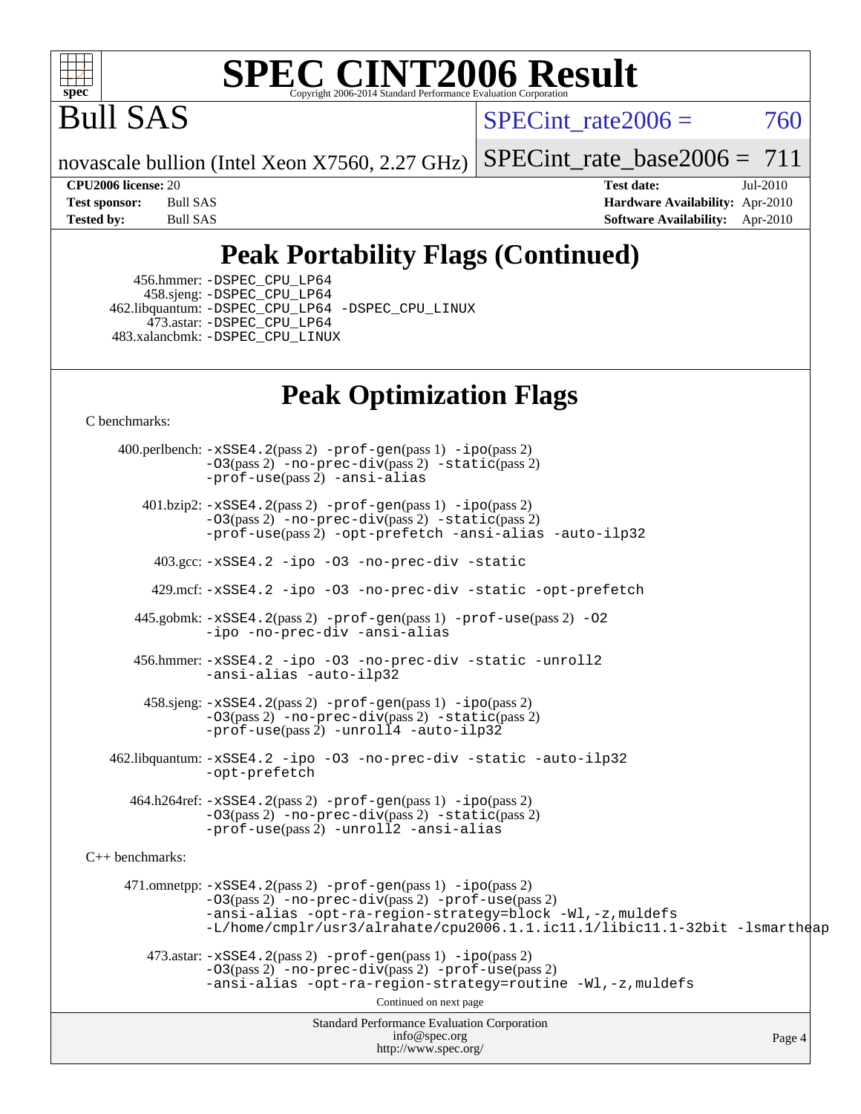

Bull SAS

SPECint rate $2006 = 760$ 

novascale bullion (Intel Xeon X7560, 2.27 GHz) [SPECint\\_rate\\_base2006 =](http://www.spec.org/auto/cpu2006/Docs/result-fields.html#SPECintratebase2006)  $711$ 

**[CPU2006 license:](http://www.spec.org/auto/cpu2006/Docs/result-fields.html#CPU2006license)** 20 **[Test date:](http://www.spec.org/auto/cpu2006/Docs/result-fields.html#Testdate)** Jul-2010 **[Test sponsor:](http://www.spec.org/auto/cpu2006/Docs/result-fields.html#Testsponsor)** Bull SAS **[Hardware Availability:](http://www.spec.org/auto/cpu2006/Docs/result-fields.html#HardwareAvailability)** Apr-2010 **[Tested by:](http://www.spec.org/auto/cpu2006/Docs/result-fields.html#Testedby)** Bull SAS **[Software Availability:](http://www.spec.org/auto/cpu2006/Docs/result-fields.html#SoftwareAvailability)** Apr-2010

### **[Peak Portability Flags \(Continued\)](http://www.spec.org/auto/cpu2006/Docs/result-fields.html#PeakPortabilityFlags)**

 456.hmmer: [-DSPEC\\_CPU\\_LP64](http://www.spec.org/cpu2006/results/res2010q3/cpu2006-20100719-12569.flags.html#suite_peakCPORTABILITY456_hmmer_DSPEC_CPU_LP64) 458.sjeng: [-DSPEC\\_CPU\\_LP64](http://www.spec.org/cpu2006/results/res2010q3/cpu2006-20100719-12569.flags.html#suite_peakCPORTABILITY458_sjeng_DSPEC_CPU_LP64) 462.libquantum: [-DSPEC\\_CPU\\_LP64](http://www.spec.org/cpu2006/results/res2010q3/cpu2006-20100719-12569.flags.html#suite_peakCPORTABILITY462_libquantum_DSPEC_CPU_LP64) [-DSPEC\\_CPU\\_LINUX](http://www.spec.org/cpu2006/results/res2010q3/cpu2006-20100719-12569.flags.html#b462.libquantum_peakCPORTABILITY_DSPEC_CPU_LINUX) 473.astar: [-DSPEC\\_CPU\\_LP64](http://www.spec.org/cpu2006/results/res2010q3/cpu2006-20100719-12569.flags.html#suite_peakCXXPORTABILITY473_astar_DSPEC_CPU_LP64) 483.xalancbmk: [-DSPEC\\_CPU\\_LINUX](http://www.spec.org/cpu2006/results/res2010q3/cpu2006-20100719-12569.flags.html#b483.xalancbmk_peakCXXPORTABILITY_DSPEC_CPU_LINUX)

### **[Peak Optimization Flags](http://www.spec.org/auto/cpu2006/Docs/result-fields.html#PeakOptimizationFlags)**

[C benchmarks](http://www.spec.org/auto/cpu2006/Docs/result-fields.html#Cbenchmarks):

Standard Performance Evaluation Corporation [info@spec.org](mailto:info@spec.org) <http://www.spec.org/> Page 4 400.perlbench: [-xSSE4.2](http://www.spec.org/cpu2006/results/res2010q3/cpu2006-20100719-12569.flags.html#user_peakPASS2_CFLAGSPASS2_LDCFLAGS400_perlbench_f-xSSE42_f91528193cf0b216347adb8b939d4107)(pass 2) [-prof-gen](http://www.spec.org/cpu2006/results/res2010q3/cpu2006-20100719-12569.flags.html#user_peakPASS1_CFLAGSPASS1_LDCFLAGS400_perlbench_prof_gen_e43856698f6ca7b7e442dfd80e94a8fc)(pass 1) [-ipo](http://www.spec.org/cpu2006/results/res2010q3/cpu2006-20100719-12569.flags.html#user_peakPASS2_CFLAGSPASS2_LDCFLAGS400_perlbench_f-ipo)(pass 2) [-O3](http://www.spec.org/cpu2006/results/res2010q3/cpu2006-20100719-12569.flags.html#user_peakPASS2_CFLAGSPASS2_LDCFLAGS400_perlbench_f-O3)(pass 2) [-no-prec-div](http://www.spec.org/cpu2006/results/res2010q3/cpu2006-20100719-12569.flags.html#user_peakPASS2_CFLAGSPASS2_LDCFLAGS400_perlbench_f-no-prec-div)(pass 2) [-static](http://www.spec.org/cpu2006/results/res2010q3/cpu2006-20100719-12569.flags.html#user_peakPASS2_CFLAGSPASS2_LDCFLAGS400_perlbench_f-static)(pass 2) [-prof-use](http://www.spec.org/cpu2006/results/res2010q3/cpu2006-20100719-12569.flags.html#user_peakPASS2_CFLAGSPASS2_LDCFLAGS400_perlbench_prof_use_bccf7792157ff70d64e32fe3e1250b55)(pass 2) [-ansi-alias](http://www.spec.org/cpu2006/results/res2010q3/cpu2006-20100719-12569.flags.html#user_peakCOPTIMIZE400_perlbench_f-ansi-alias) 401.bzip2: [-xSSE4.2](http://www.spec.org/cpu2006/results/res2010q3/cpu2006-20100719-12569.flags.html#user_peakPASS2_CFLAGSPASS2_LDCFLAGS401_bzip2_f-xSSE42_f91528193cf0b216347adb8b939d4107)(pass 2) [-prof-gen](http://www.spec.org/cpu2006/results/res2010q3/cpu2006-20100719-12569.flags.html#user_peakPASS1_CFLAGSPASS1_LDCFLAGS401_bzip2_prof_gen_e43856698f6ca7b7e442dfd80e94a8fc)(pass 1) [-ipo](http://www.spec.org/cpu2006/results/res2010q3/cpu2006-20100719-12569.flags.html#user_peakPASS2_CFLAGSPASS2_LDCFLAGS401_bzip2_f-ipo)(pass 2) [-O3](http://www.spec.org/cpu2006/results/res2010q3/cpu2006-20100719-12569.flags.html#user_peakPASS2_CFLAGSPASS2_LDCFLAGS401_bzip2_f-O3)(pass 2) [-no-prec-div](http://www.spec.org/cpu2006/results/res2010q3/cpu2006-20100719-12569.flags.html#user_peakPASS2_CFLAGSPASS2_LDCFLAGS401_bzip2_f-no-prec-div)(pass 2) [-static](http://www.spec.org/cpu2006/results/res2010q3/cpu2006-20100719-12569.flags.html#user_peakPASS2_CFLAGSPASS2_LDCFLAGS401_bzip2_f-static)(pass 2) [-prof-use](http://www.spec.org/cpu2006/results/res2010q3/cpu2006-20100719-12569.flags.html#user_peakPASS2_CFLAGSPASS2_LDCFLAGS401_bzip2_prof_use_bccf7792157ff70d64e32fe3e1250b55)(pass 2) [-opt-prefetch](http://www.spec.org/cpu2006/results/res2010q3/cpu2006-20100719-12569.flags.html#user_peakCOPTIMIZE401_bzip2_f-opt-prefetch) [-ansi-alias](http://www.spec.org/cpu2006/results/res2010q3/cpu2006-20100719-12569.flags.html#user_peakCOPTIMIZE401_bzip2_f-ansi-alias) [-auto-ilp32](http://www.spec.org/cpu2006/results/res2010q3/cpu2006-20100719-12569.flags.html#user_peakCOPTIMIZE401_bzip2_f-auto-ilp32) 403.gcc: [-xSSE4.2](http://www.spec.org/cpu2006/results/res2010q3/cpu2006-20100719-12569.flags.html#user_peakCOPTIMIZE403_gcc_f-xSSE42_f91528193cf0b216347adb8b939d4107) [-ipo](http://www.spec.org/cpu2006/results/res2010q3/cpu2006-20100719-12569.flags.html#user_peakCOPTIMIZE403_gcc_f-ipo) [-O3](http://www.spec.org/cpu2006/results/res2010q3/cpu2006-20100719-12569.flags.html#user_peakCOPTIMIZE403_gcc_f-O3) [-no-prec-div](http://www.spec.org/cpu2006/results/res2010q3/cpu2006-20100719-12569.flags.html#user_peakCOPTIMIZE403_gcc_f-no-prec-div) [-static](http://www.spec.org/cpu2006/results/res2010q3/cpu2006-20100719-12569.flags.html#user_peakCOPTIMIZE403_gcc_f-static) 429.mcf: [-xSSE4.2](http://www.spec.org/cpu2006/results/res2010q3/cpu2006-20100719-12569.flags.html#user_peakCOPTIMIZE429_mcf_f-xSSE42_f91528193cf0b216347adb8b939d4107) [-ipo](http://www.spec.org/cpu2006/results/res2010q3/cpu2006-20100719-12569.flags.html#user_peakCOPTIMIZE429_mcf_f-ipo) [-O3](http://www.spec.org/cpu2006/results/res2010q3/cpu2006-20100719-12569.flags.html#user_peakCOPTIMIZE429_mcf_f-O3) [-no-prec-div](http://www.spec.org/cpu2006/results/res2010q3/cpu2006-20100719-12569.flags.html#user_peakCOPTIMIZE429_mcf_f-no-prec-div) [-static](http://www.spec.org/cpu2006/results/res2010q3/cpu2006-20100719-12569.flags.html#user_peakCOPTIMIZE429_mcf_f-static) [-opt-prefetch](http://www.spec.org/cpu2006/results/res2010q3/cpu2006-20100719-12569.flags.html#user_peakCOPTIMIZE429_mcf_f-opt-prefetch) 445.gobmk: [-xSSE4.2](http://www.spec.org/cpu2006/results/res2010q3/cpu2006-20100719-12569.flags.html#user_peakPASS2_CFLAGSPASS2_LDCFLAGS445_gobmk_f-xSSE42_f91528193cf0b216347adb8b939d4107)(pass 2) [-prof-gen](http://www.spec.org/cpu2006/results/res2010q3/cpu2006-20100719-12569.flags.html#user_peakPASS1_CFLAGSPASS1_LDCFLAGS445_gobmk_prof_gen_e43856698f6ca7b7e442dfd80e94a8fc)(pass 1) [-prof-use](http://www.spec.org/cpu2006/results/res2010q3/cpu2006-20100719-12569.flags.html#user_peakPASS2_CFLAGSPASS2_LDCFLAGS445_gobmk_prof_use_bccf7792157ff70d64e32fe3e1250b55)(pass 2) [-O2](http://www.spec.org/cpu2006/results/res2010q3/cpu2006-20100719-12569.flags.html#user_peakCOPTIMIZE445_gobmk_f-O2) [-ipo](http://www.spec.org/cpu2006/results/res2010q3/cpu2006-20100719-12569.flags.html#user_peakCOPTIMIZE445_gobmk_f-ipo) [-no-prec-div](http://www.spec.org/cpu2006/results/res2010q3/cpu2006-20100719-12569.flags.html#user_peakCOPTIMIZE445_gobmk_f-no-prec-div) [-ansi-alias](http://www.spec.org/cpu2006/results/res2010q3/cpu2006-20100719-12569.flags.html#user_peakCOPTIMIZE445_gobmk_f-ansi-alias) 456.hmmer: [-xSSE4.2](http://www.spec.org/cpu2006/results/res2010q3/cpu2006-20100719-12569.flags.html#user_peakCOPTIMIZE456_hmmer_f-xSSE42_f91528193cf0b216347adb8b939d4107) [-ipo](http://www.spec.org/cpu2006/results/res2010q3/cpu2006-20100719-12569.flags.html#user_peakCOPTIMIZE456_hmmer_f-ipo) [-O3](http://www.spec.org/cpu2006/results/res2010q3/cpu2006-20100719-12569.flags.html#user_peakCOPTIMIZE456_hmmer_f-O3) [-no-prec-div](http://www.spec.org/cpu2006/results/res2010q3/cpu2006-20100719-12569.flags.html#user_peakCOPTIMIZE456_hmmer_f-no-prec-div) [-static](http://www.spec.org/cpu2006/results/res2010q3/cpu2006-20100719-12569.flags.html#user_peakCOPTIMIZE456_hmmer_f-static) [-unroll2](http://www.spec.org/cpu2006/results/res2010q3/cpu2006-20100719-12569.flags.html#user_peakCOPTIMIZE456_hmmer_f-unroll_784dae83bebfb236979b41d2422d7ec2) [-ansi-alias](http://www.spec.org/cpu2006/results/res2010q3/cpu2006-20100719-12569.flags.html#user_peakCOPTIMIZE456_hmmer_f-ansi-alias) [-auto-ilp32](http://www.spec.org/cpu2006/results/res2010q3/cpu2006-20100719-12569.flags.html#user_peakCOPTIMIZE456_hmmer_f-auto-ilp32) 458.sjeng: [-xSSE4.2](http://www.spec.org/cpu2006/results/res2010q3/cpu2006-20100719-12569.flags.html#user_peakPASS2_CFLAGSPASS2_LDCFLAGS458_sjeng_f-xSSE42_f91528193cf0b216347adb8b939d4107)(pass 2) [-prof-gen](http://www.spec.org/cpu2006/results/res2010q3/cpu2006-20100719-12569.flags.html#user_peakPASS1_CFLAGSPASS1_LDCFLAGS458_sjeng_prof_gen_e43856698f6ca7b7e442dfd80e94a8fc)(pass 1) [-ipo](http://www.spec.org/cpu2006/results/res2010q3/cpu2006-20100719-12569.flags.html#user_peakPASS2_CFLAGSPASS2_LDCFLAGS458_sjeng_f-ipo)(pass 2) [-O3](http://www.spec.org/cpu2006/results/res2010q3/cpu2006-20100719-12569.flags.html#user_peakPASS2_CFLAGSPASS2_LDCFLAGS458_sjeng_f-O3)(pass 2) [-no-prec-div](http://www.spec.org/cpu2006/results/res2010q3/cpu2006-20100719-12569.flags.html#user_peakPASS2_CFLAGSPASS2_LDCFLAGS458_sjeng_f-no-prec-div)(pass 2) [-static](http://www.spec.org/cpu2006/results/res2010q3/cpu2006-20100719-12569.flags.html#user_peakPASS2_CFLAGSPASS2_LDCFLAGS458_sjeng_f-static)(pass 2) [-prof-use](http://www.spec.org/cpu2006/results/res2010q3/cpu2006-20100719-12569.flags.html#user_peakPASS2_CFLAGSPASS2_LDCFLAGS458_sjeng_prof_use_bccf7792157ff70d64e32fe3e1250b55)(pass 2) [-unroll4](http://www.spec.org/cpu2006/results/res2010q3/cpu2006-20100719-12569.flags.html#user_peakCOPTIMIZE458_sjeng_f-unroll_4e5e4ed65b7fd20bdcd365bec371b81f) [-auto-ilp32](http://www.spec.org/cpu2006/results/res2010q3/cpu2006-20100719-12569.flags.html#user_peakCOPTIMIZE458_sjeng_f-auto-ilp32) 462.libquantum: [-xSSE4.2](http://www.spec.org/cpu2006/results/res2010q3/cpu2006-20100719-12569.flags.html#user_peakCOPTIMIZE462_libquantum_f-xSSE42_f91528193cf0b216347adb8b939d4107) [-ipo](http://www.spec.org/cpu2006/results/res2010q3/cpu2006-20100719-12569.flags.html#user_peakCOPTIMIZE462_libquantum_f-ipo) [-O3](http://www.spec.org/cpu2006/results/res2010q3/cpu2006-20100719-12569.flags.html#user_peakCOPTIMIZE462_libquantum_f-O3) [-no-prec-div](http://www.spec.org/cpu2006/results/res2010q3/cpu2006-20100719-12569.flags.html#user_peakCOPTIMIZE462_libquantum_f-no-prec-div) [-static](http://www.spec.org/cpu2006/results/res2010q3/cpu2006-20100719-12569.flags.html#user_peakCOPTIMIZE462_libquantum_f-static) [-auto-ilp32](http://www.spec.org/cpu2006/results/res2010q3/cpu2006-20100719-12569.flags.html#user_peakCOPTIMIZE462_libquantum_f-auto-ilp32) [-opt-prefetch](http://www.spec.org/cpu2006/results/res2010q3/cpu2006-20100719-12569.flags.html#user_peakCOPTIMIZE462_libquantum_f-opt-prefetch) 464.h264ref: [-xSSE4.2](http://www.spec.org/cpu2006/results/res2010q3/cpu2006-20100719-12569.flags.html#user_peakPASS2_CFLAGSPASS2_LDCFLAGS464_h264ref_f-xSSE42_f91528193cf0b216347adb8b939d4107)(pass 2) [-prof-gen](http://www.spec.org/cpu2006/results/res2010q3/cpu2006-20100719-12569.flags.html#user_peakPASS1_CFLAGSPASS1_LDCFLAGS464_h264ref_prof_gen_e43856698f6ca7b7e442dfd80e94a8fc)(pass 1) [-ipo](http://www.spec.org/cpu2006/results/res2010q3/cpu2006-20100719-12569.flags.html#user_peakPASS2_CFLAGSPASS2_LDCFLAGS464_h264ref_f-ipo)(pass 2) [-O3](http://www.spec.org/cpu2006/results/res2010q3/cpu2006-20100719-12569.flags.html#user_peakPASS2_CFLAGSPASS2_LDCFLAGS464_h264ref_f-O3)(pass 2) [-no-prec-div](http://www.spec.org/cpu2006/results/res2010q3/cpu2006-20100719-12569.flags.html#user_peakPASS2_CFLAGSPASS2_LDCFLAGS464_h264ref_f-no-prec-div)(pass 2) [-static](http://www.spec.org/cpu2006/results/res2010q3/cpu2006-20100719-12569.flags.html#user_peakPASS2_CFLAGSPASS2_LDCFLAGS464_h264ref_f-static)(pass 2) [-prof-use](http://www.spec.org/cpu2006/results/res2010q3/cpu2006-20100719-12569.flags.html#user_peakPASS2_CFLAGSPASS2_LDCFLAGS464_h264ref_prof_use_bccf7792157ff70d64e32fe3e1250b55)(pass 2) [-unroll2](http://www.spec.org/cpu2006/results/res2010q3/cpu2006-20100719-12569.flags.html#user_peakCOPTIMIZE464_h264ref_f-unroll_784dae83bebfb236979b41d2422d7ec2) [-ansi-alias](http://www.spec.org/cpu2006/results/res2010q3/cpu2006-20100719-12569.flags.html#user_peakCOPTIMIZE464_h264ref_f-ansi-alias) [C++ benchmarks:](http://www.spec.org/auto/cpu2006/Docs/result-fields.html#CXXbenchmarks) 471.omnetpp: [-xSSE4.2](http://www.spec.org/cpu2006/results/res2010q3/cpu2006-20100719-12569.flags.html#user_peakPASS2_CXXFLAGSPASS2_LDCXXFLAGS471_omnetpp_f-xSSE42_f91528193cf0b216347adb8b939d4107)(pass 2) [-prof-gen](http://www.spec.org/cpu2006/results/res2010q3/cpu2006-20100719-12569.flags.html#user_peakPASS1_CXXFLAGSPASS1_LDCXXFLAGS471_omnetpp_prof_gen_e43856698f6ca7b7e442dfd80e94a8fc)(pass 1) [-ipo](http://www.spec.org/cpu2006/results/res2010q3/cpu2006-20100719-12569.flags.html#user_peakPASS2_CXXFLAGSPASS2_LDCXXFLAGS471_omnetpp_f-ipo)(pass 2) [-O3](http://www.spec.org/cpu2006/results/res2010q3/cpu2006-20100719-12569.flags.html#user_peakPASS2_CXXFLAGSPASS2_LDCXXFLAGS471_omnetpp_f-O3)(pass 2) [-no-prec-div](http://www.spec.org/cpu2006/results/res2010q3/cpu2006-20100719-12569.flags.html#user_peakPASS2_CXXFLAGSPASS2_LDCXXFLAGS471_omnetpp_f-no-prec-div)(pass 2) [-prof-use](http://www.spec.org/cpu2006/results/res2010q3/cpu2006-20100719-12569.flags.html#user_peakPASS2_CXXFLAGSPASS2_LDCXXFLAGS471_omnetpp_prof_use_bccf7792157ff70d64e32fe3e1250b55)(pass 2) [-ansi-alias](http://www.spec.org/cpu2006/results/res2010q3/cpu2006-20100719-12569.flags.html#user_peakCXXOPTIMIZE471_omnetpp_f-ansi-alias) [-opt-ra-region-strategy=block](http://www.spec.org/cpu2006/results/res2010q3/cpu2006-20100719-12569.flags.html#user_peakCXXOPTIMIZE471_omnetpp_f-opt-ra-region-strategy-block_a0a37c372d03933b2a18d4af463c1f69) [-Wl,-z,muldefs](http://www.spec.org/cpu2006/results/res2010q3/cpu2006-20100719-12569.flags.html#user_peakEXTRA_LDFLAGS471_omnetpp_link_force_multiple1_74079c344b956b9658436fd1b6dd3a8a) [-L/home/cmplr/usr3/alrahate/cpu2006.1.1.ic11.1/libic11.1-32bit -lsmartheap](http://www.spec.org/cpu2006/results/res2010q3/cpu2006-20100719-12569.flags.html#user_peakEXTRA_LIBS471_omnetpp_SmartHeap_d86dffe4a79b79ef8890d5cce17030c3)  $473.\text{astar: } -xSSE4$ .  $2(\text{pass 2})$   $-\text{prof-gen}(\text{pass 1})$   $-i\text{po}(\text{pass 2})$ [-O3](http://www.spec.org/cpu2006/results/res2010q3/cpu2006-20100719-12569.flags.html#user_peakPASS2_CXXFLAGSPASS2_LDCXXFLAGS473_astar_f-O3)(pass 2) [-no-prec-div](http://www.spec.org/cpu2006/results/res2010q3/cpu2006-20100719-12569.flags.html#user_peakPASS2_CXXFLAGSPASS2_LDCXXFLAGS473_astar_f-no-prec-div)(pass 2) [-prof-use](http://www.spec.org/cpu2006/results/res2010q3/cpu2006-20100719-12569.flags.html#user_peakPASS2_CXXFLAGSPASS2_LDCXXFLAGS473_astar_prof_use_bccf7792157ff70d64e32fe3e1250b55)(pass 2) [-ansi-alias](http://www.spec.org/cpu2006/results/res2010q3/cpu2006-20100719-12569.flags.html#user_peakCXXOPTIMIZE473_astar_f-ansi-alias) [-opt-ra-region-strategy=routine](http://www.spec.org/cpu2006/results/res2010q3/cpu2006-20100719-12569.flags.html#user_peakCXXOPTIMIZE473_astar_f-opt-ra-region-strategy-routine_ba086ea3b1d46a52e1238e2ca173ed44) [-Wl,-z,muldefs](http://www.spec.org/cpu2006/results/res2010q3/cpu2006-20100719-12569.flags.html#user_peakEXTRA_LDFLAGS473_astar_link_force_multiple1_74079c344b956b9658436fd1b6dd3a8a) Continued on next page